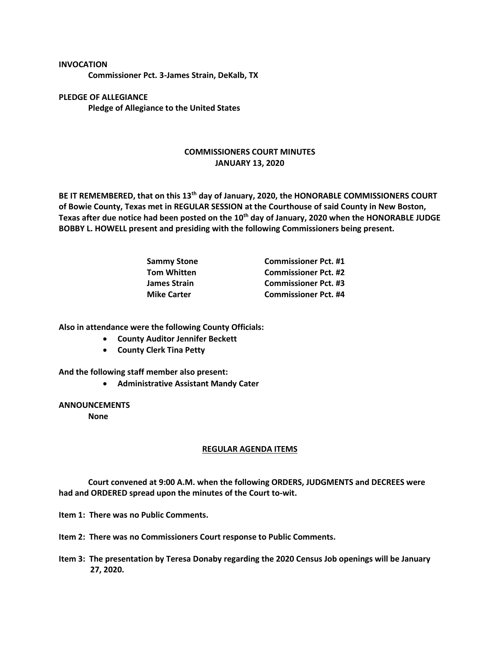**Commissioner Pct. 3-James Strain, DeKalb, TX**

**PLEDGE OF ALLEGIANCE Pledge of Allegiance to the United States**

**INVOCATION**

## **COMMISSIONERS COURT MINUTES JANUARY 13, 2020**

**BE IT REMEMBERED, that on this 13th day of January, 2020, the HONORABLE COMMISSIONERS COURT of Bowie County, Texas met in REGULAR SESSION at the Courthouse of said County in New Boston, Texas after due notice had been posted on the 10th day of January, 2020 when the HONORABLE JUDGE BOBBY L. HOWELL present and presiding with the following Commissioners being present.**

| <b>Commissioner Pct. #1</b> |
|-----------------------------|
| <b>Commissioner Pct. #2</b> |
| <b>Commissioner Pct. #3</b> |
| <b>Commissioner Pct. #4</b> |
|                             |

**Also in attendance were the following County Officials:**

- **County Auditor Jennifer Beckett**
- **County Clerk Tina Petty**

**And the following staff member also present:**

• **Administrative Assistant Mandy Cater**

**ANNOUNCEMENTS**

**None**

## **REGULAR AGENDA ITEMS**

**Court convened at 9:00 A.M. when the following ORDERS, JUDGMENTS and DECREES were had and ORDERED spread upon the minutes of the Court to-wit.**

**Item 1: There was no Public Comments.**

**Item 2: There was no Commissioners Court response to Public Comments.**

**Item 3: The presentation by Teresa Donaby regarding the 2020 Census Job openings will be January 27, 2020.**